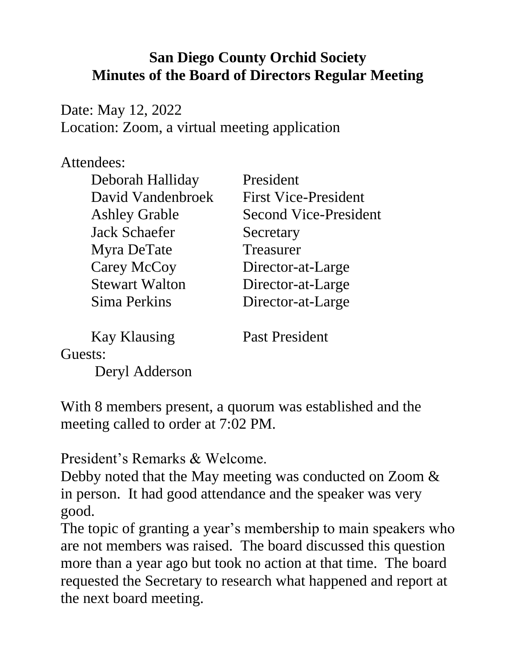## **San Diego County Orchid Society Minutes of the Board of Directors Regular Meeting**

Date: May 12, 2022 Location: Zoom, a virtual meeting application

## Attendees:

| President                    |
|------------------------------|
| <b>First Vice-President</b>  |
| <b>Second Vice-President</b> |
| Secretary                    |
| Treasurer                    |
| Director-at-Large            |
| Director-at-Large            |
| Director-at-Large            |
|                              |

Kay Klausing Past President

Guests:

Deryl Adderson

With 8 members present, a quorum was established and the meeting called to order at 7:02 PM.

President's Remarks & Welcome.

Debby noted that the May meeting was conducted on Zoom  $\&$ in person. It had good attendance and the speaker was very good.

The topic of granting a year's membership to main speakers who are not members was raised. The board discussed this question more than a year ago but took no action at that time. The board requested the Secretary to research what happened and report at the next board meeting.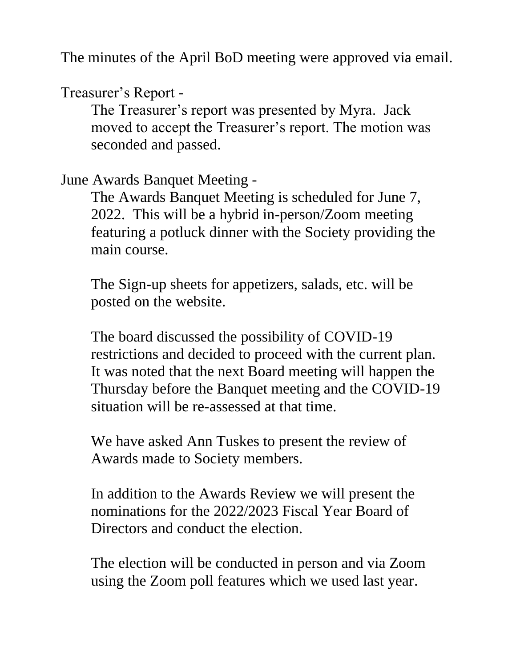The minutes of the April BoD meeting were approved via email.

Treasurer's Report -

The Treasurer's report was presented by Myra. Jack moved to accept the Treasurer's report. The motion was seconded and passed.

June Awards Banquet Meeting -

The Awards Banquet Meeting is scheduled for June 7, 2022. This will be a hybrid in-person/Zoom meeting featuring a potluck dinner with the Society providing the main course.

The Sign-up sheets for appetizers, salads, etc. will be posted on the website.

The board discussed the possibility of COVID-19 restrictions and decided to proceed with the current plan. It was noted that the next Board meeting will happen the Thursday before the Banquet meeting and the COVID-19 situation will be re-assessed at that time.

We have asked Ann Tuskes to present the review of Awards made to Society members.

In addition to the Awards Review we will present the nominations for the 2022/2023 Fiscal Year Board of Directors and conduct the election.

The election will be conducted in person and via Zoom using the Zoom poll features which we used last year.